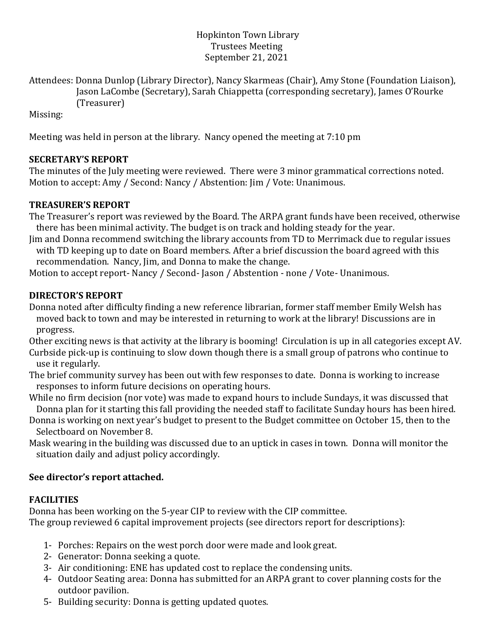### Hopkinton Town Library Trustees Meeting September 21, 2021

Attendees: Donna Dunlop (Library Director), Nancy Skarmeas (Chair), Amy Stone (Foundation Liaison), Jason LaCombe (Secretary), Sarah Chiappetta (corresponding secretary), James O'Rourke (Treasurer)

Missing:

Meeting was held in person at the library. Nancy opened the meeting at 7:10 pm

# **SECRETARY'S REPORT**

The minutes of the July meeting were reviewed. There were 3 minor grammatical corrections noted. Motion to accept: Amy / Second: Nancy / Abstention: Jim / Vote: Unanimous.

## **TREASURER'S REPORT**

The Treasurer's report was reviewed by the Board. The ARPA grant funds have been received, otherwise there has been minimal activity. The budget is on track and holding steady for the year.

Jim and Donna recommend switching the library accounts from TD to Merrimack due to regular issues with TD keeping up to date on Board members. After a brief discussion the board agreed with this recommendation. Nancy, Jim, and Donna to make the change.

Motion to accept report- Nancy / Second- Jason / Abstention - none / Vote- Unanimous.

# **DIRECTOR'S REPORT**

Donna noted after difficulty finding a new reference librarian, former staff member Emily Welsh has moved back to town and may be interested in returning to work at the library! Discussions are in progress.

Other exciting news is that activity at the library is booming! Circulation is up in all categories except AV. Curbside pick-up is continuing to slow down though there is a small group of patrons who continue to use it regularly.

The brief community survey has been out with few responses to date. Donna is working to increase responses to inform future decisions on operating hours.

While no firm decision (nor vote) was made to expand hours to include Sundays, it was discussed that Donna plan for it starting this fall providing the needed staff to facilitate Sunday hours has been hired.

Donna is working on next year's budget to present to the Budget committee on October 15, then to the Selectboard on November 8.

Mask wearing in the building was discussed due to an uptick in cases in town. Donna will monitor the situation daily and adjust policy accordingly.

## **See director's report attached.**

## **FACILITIES**

Donna has been working on the 5-year CIP to review with the CIP committee. The group reviewed 6 capital improvement projects (see directors report for descriptions):

- 1- Porches: Repairs on the west porch door were made and look great.
- 2- Generator: Donna seeking a quote.
- 3- Air conditioning: ENE has updated cost to replace the condensing units.
- 4- Outdoor Seating area: Donna has submitted for an ARPA grant to cover planning costs for the outdoor pavilion.
- 5- Building security: Donna is getting updated quotes.